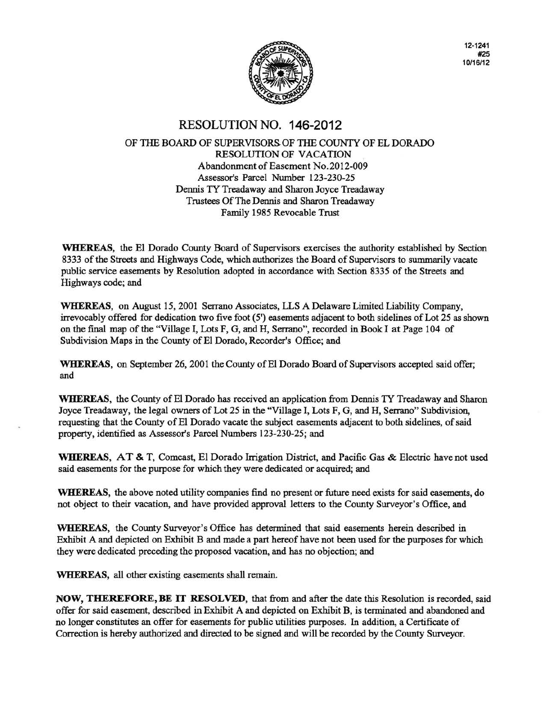

12-1241 #25 10/16/12

# RESOLUTION NO. 146-2012

#### OF THE BOARD OF SUPERVISORS OF THE COUNTY OF EL DORADO RESOLUTION OF VACATION Abandonment of Easement No.2012-009 Assessor's Parcel Number 123-230-25 Dennis TY Treadaway and Sharon Joyce Treadaway Trustees Of The Dennis and Sharon Treadaway Family 1985 Revocable Trust

WHEREAS, the El Dorado County Board of Supervisors exercises the authority established by Section 8333 of the Streets and Highways Code, which authorizes the Board of Supervisors to summarily vacate public service easements by Resolution adopted in accordance with Section 8335 of the Streets and Highways code; and

WHEREAS, on August 15, 2001 Serrano Associates, LLS A Delaware Limited Liability Company, irrevocably offered for dedication two five foot (5') easements adjacent to both sidelines of Lot 25 as shown on the final map of the "Village I, Lots F, G, and H, Serrano", recorded in Book I at Page 104 of Subdivision Maps in the County of El Dorado, Recorder's Office; and

WHEREAS, on September 26, 2001 the County of El Dorado Board of Supervisors accepted said offer; and

WHEREAS, the County of El Dorado has received an application from Dennis TY Treadaway and Sharon Joyce Treadaway, the legal owners of Lot 25 in the "Village I, Lots F, G, and H, Serrano" Subdivision, requesting that the County of El Dorado vacate the subject easements adjacent to both sidelines, of said property, identified as Assessor's Parcel Numbers 123-230-25; and

WHEREAS, AT & T, Comcast, El Dorado Irrigation District, and Pacific Gas & Electric have not used said easements for the purpose for which they were dedicated or acquired; and

WHEREAS, the above noted utility companies find no present or future need exists for said easements, do not object to their vacation, and have provided approval letters to the County Surveyor's Office, and

WHEREAS, the County Surveyor's Office has determined that said easements herein described in Exhibit A and depicted on Exhibit B and made a part hereof have not been used for the purposes for which they were dedicated preceding the proposed vacation, and has no objection; and

WHEREAS, all other existing easements shall remain.

NOW, THEREFORE, BE IT RESOLVED, that from and after the date this Resolution is recorded, said offer for said easement, described in Exhibit A and depicted on Exhibit B, is terminated and abandoned and no longer constitutes an offer for easements for public utilities purposes. In addition, a Certificate of Correction is hereby authorized and directed to be signed and will be recorded by the County Surveyor.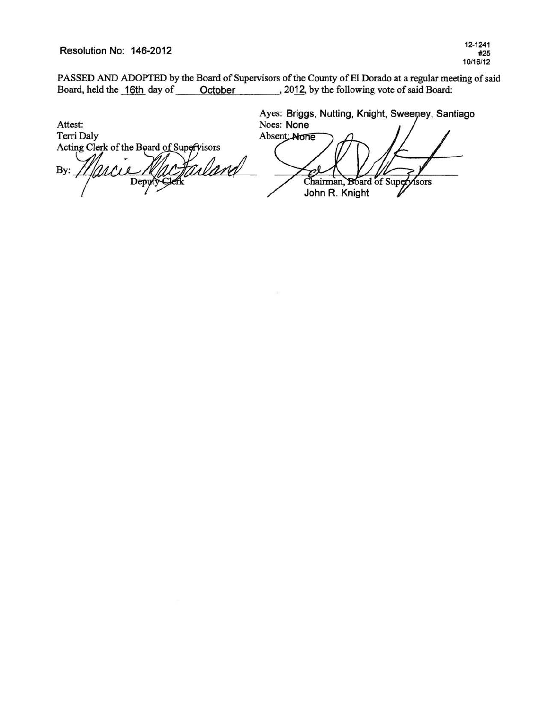Resolution No: 146-2012

PASSED AND ADOPTED by the Board of Supervisors of the County of El Dorado at a regular meeting of said<br>Board, held the 16th day of October 2012, by the following vote of said Board:  $\frac{1}{2012}$ , 2012, by the following vote of said Board:

Ayes: Briggs, Nutting, Knight, Sweeney, Santiago Noes: None Attest: Absent: None Terri Daly Acting Clerk of the Board of Supervisors ailand By:  $211$ Chairman, Board of Supervisors Depy John R. Knight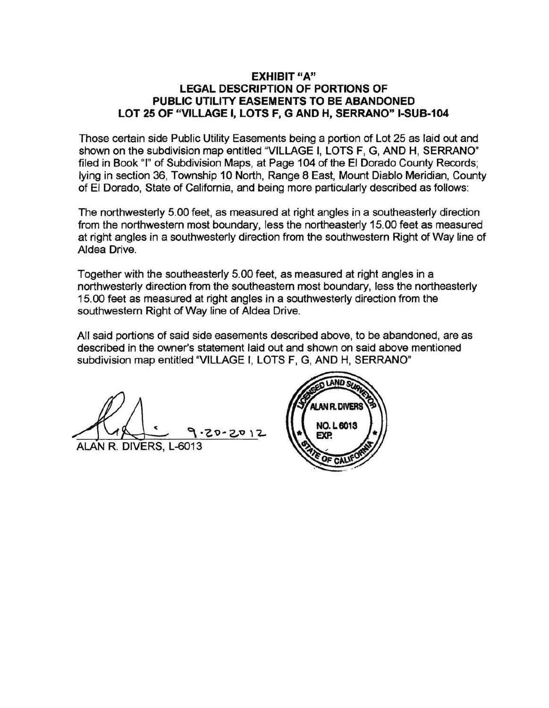#### EXHIBIT "A" LEGAL DESCRIPTION OF PORTIONS OF PUBLIC UTILITY EASEMENTS TO BE ABANDONED LOT 25 OF "VILLAGE I, LOTS F, G AND H, SERRANO" 1-SUB-104

Those certain side Public Utility Easements being a portion of Lot 25 as laid out and shown on the subdivision map entitled "VILLAGE I, LOTS F, G, AND H, SERRANO" filed in Book "I" of Subdivision Maps, at Page 104 of the El Dorado County Records; lying in section 36, Township 10 North, Range 8 East, Mount Diablo Meridian, County of El Dorado, State of California, and being more particularly described as follows:

The northwesterly 5.00 feet, as measured at right angles in a southeasterly direction from the northwestern most boundary, less the northeasterly 15.00 feet as measured at right angles in a southwesterly direction from the southwestern Right of Way line of Aldea Drive.

Together with the southeasterly 5.00 feet, as measured at right angles in a northwesterly direction from the southeastern most boundary, less the northeasterly 15.00 feet as measured at right angles in a southwesterly direction from the southwestern Right of Way line of Aldea Drive.

All said portions of said side easements described above, to be abandoned, are as described in the owner's statement laid out and shown on said above mentioned subdivision map entitled "VILLAGE I, LOTS F, G, AND H, SERRANO"

 $-20 - 2012$ 

ALAN R. DIVERS, L-6013

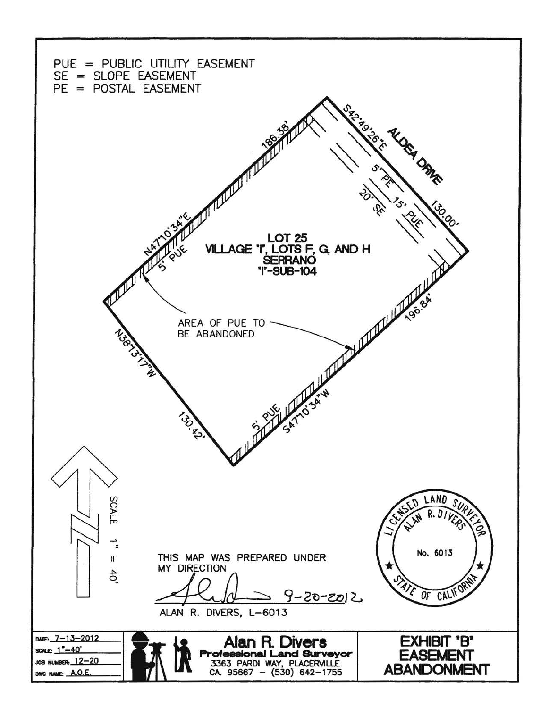